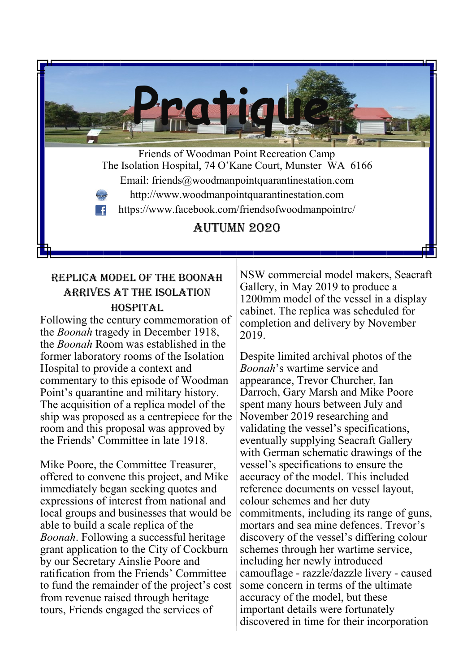**Pratique** Friends of Woodman Point Recreation Camp The Isolation Hospital, 74 O'Kane Court, Munster WA 6166 Email: friends@woodmanpointquarantinestation.com http://www.woodmanpointquarantinestation.com https://www.facebook.com/friendsofwoodmanpointrc/  $\mathbf{f}$ Autumn 2020

# Replica model of the Boonah arrives at the isolation hospital

Following the century commemoration of the *Boonah* tragedy in December 1918, the *Boonah* Room was established in the former laboratory rooms of the Isolation Hospital to provide a context and commentary to this episode of Woodman Point's quarantine and military history. The acquisition of a replica model of the ship was proposed as a centrepiece for the room and this proposal was approved by the Friends' Committee in late 1918.

Mike Poore, the Committee Treasurer, offered to convene this project, and Mike immediately began seeking quotes and expressions of interest from national and local groups and businesses that would be able to build a scale replica of the *Boonah*. Following a successful heritage grant application to the City of Cockburn by our Secretary Ainslie Poore and ratification from the Friends' Committee to fund the remainder of the project's cost from revenue raised through heritage tours, Friends engaged the services of

NSW commercial model makers, Seacraft Gallery, in May 2019 to produce a 1200mm model of the vessel in a display cabinet. The replica was scheduled for completion and delivery by November 2019.

Despite limited archival photos of the *Boonah*'s wartime service and appearance, Trevor Churcher, Ian Darroch, Gary Marsh and Mike Poore spent many hours between July and November 2019 researching and validating the vessel's specifications, eventually supplying Seacraft Gallery with German schematic drawings of the vessel's specifications to ensure the accuracy of the model. This included reference documents on vessel layout, colour schemes and her duty commitments, including its range of guns, mortars and sea mine defences. Trevor's discovery of the vessel's differing colour schemes through her wartime service, including her newly introduced camouflage - razzle/dazzle livery - caused some concern in terms of the ultimate accuracy of the model, but these important details were fortunately discovered in time for their incorporation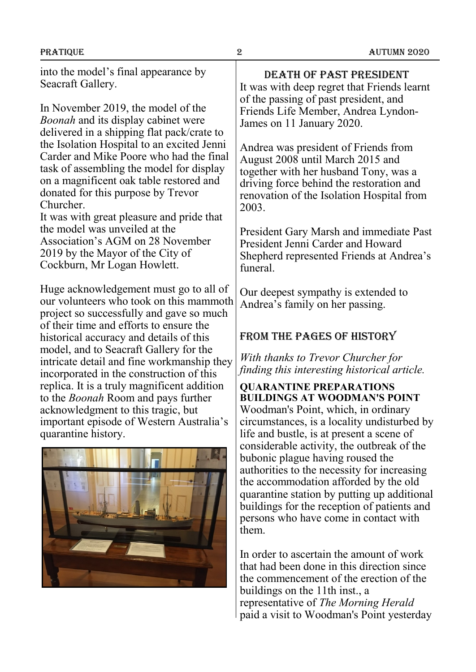into the model's final appearance by Seacraft Gallery.

In November 2019, the model of the *Boonah* and its display cabinet were delivered in a shipping flat pack/crate to the Isolation Hospital to an excited Jenni Carder and Mike Poore who had the final task of assembling the model for display on a magnificent oak table restored and donated for this purpose by Trevor Churcher.

It was with great pleasure and pride that the model was unveiled at the Association's AGM on 28 November 2019 by the Mayor of the City of Cockburn, Mr Logan Howlett.

Huge acknowledgement must go to all of our volunteers who took on this mammoth project so successfully and gave so much of their time and efforts to ensure the historical accuracy and details of this model, and to Seacraft Gallery for the intricate detail and fine workmanship they incorporated in the construction of this replica. It is a truly magnificent addition to the *Boonah* Room and pays further acknowledgment to this tragic, but important episode of Western Australia's quarantine history.



Death of past president It was with deep regret that Friends learnt of the passing of past president, and Friends Life Member, Andrea Lyndon-James on 11 January 2020.

Andrea was president of Friends from August 2008 until March 2015 and together with her husband Tony, was a driving force behind the restoration and renovation of the Isolation Hospital from 2003.

President Gary Marsh and immediate Past President Jenni Carder and Howard Shepherd represented Friends at Andrea's funeral.

Our deepest sympathy is extended to Andrea's family on her passing.

### From the pages of history

*With thanks to Trevor Churcher for finding this interesting historical article.*

**QUARANTINE PREPARATIONS BUILDINGS AT WOODMAN'S POINT**

Woodman's Point, which, in ordinary circumstances, is a locality undisturbed by life and bustle, is at present a scene of considerable activity, the outbreak of the bubonic plague having roused the authorities to the necessity for increasing the accommodation afforded by the old quarantine station by putting up additional buildings for the reception of patients and persons who have come in contact with them.

In order to ascertain the amount of work that had been done in this direction since the commencement of the erection of the buildings on the 11th inst., a representative of *The Morning Herald* paid a visit to Woodman's Point yesterday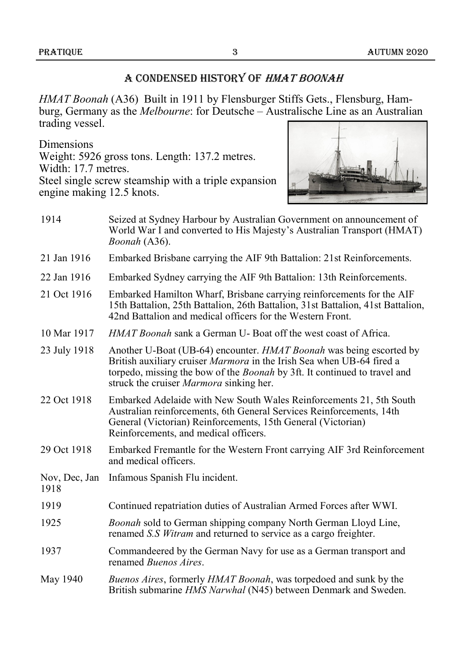### A CONDENSED HISTORY OF HMAT BOONAH

*HMAT Boonah* (A36) Built in 1911 by Flensburger Stiffs Gets., Flensburg, Hamburg, Germany as the *Melbourne*: for Deutsche – Australische Line as an Australian trading vessel.

Dimensions

Weight: 5926 gross tons. Length: 137.2 metres. Width: 17.7 metres. Steel single screw steamship with a triple expansion engine making 12.5 knots.



| 1914                  | Seized at Sydney Harbour by Australian Government on announcement of<br>World War I and converted to His Majesty's Australian Transport (HMAT)<br>Boonah (A36).                                                                                                             |  |  |
|-----------------------|-----------------------------------------------------------------------------------------------------------------------------------------------------------------------------------------------------------------------------------------------------------------------------|--|--|
| 21 Jan 1916           | Embarked Brisbane carrying the AIF 9th Battalion: 21st Reinforcements.                                                                                                                                                                                                      |  |  |
| 22 Jan 1916           | Embarked Sydney carrying the AIF 9th Battalion: 13th Reinforcements.                                                                                                                                                                                                        |  |  |
| 21 Oct 1916           | Embarked Hamilton Wharf, Brisbane carrying reinforcements for the AIF<br>15th Battalion, 25th Battalion, 26th Battalion, 31st Battalion, 41st Battalion,<br>42nd Battalion and medical officers for the Western Front.                                                      |  |  |
| 10 Mar 1917           | HMAT Boonah sank a German U-Boat off the west coast of Africa.                                                                                                                                                                                                              |  |  |
| 23 July 1918          | Another U-Boat (UB-64) encounter. HMAT Boonah was being escorted by<br>British auxiliary cruiser Marmora in the Irish Sea when UB-64 fired a<br>torpedo, missing the bow of the <i>Boonah</i> by 3ft. It continued to travel and<br>struck the cruiser Marmora sinking her. |  |  |
| 22 Oct 1918           | Embarked Adelaide with New South Wales Reinforcements 21, 5th South<br>Australian reinforcements, 6th General Services Reinforcements, 14th<br>General (Victorian) Reinforcements, 15th General (Victorian)<br>Reinforcements, and medical officers.                        |  |  |
| 29 Oct 1918           | Embarked Fremantle for the Western Front carrying AIF 3rd Reinforcement<br>and medical officers.                                                                                                                                                                            |  |  |
| Nov, Dec, Jan<br>1918 | Infamous Spanish Flu incident.                                                                                                                                                                                                                                              |  |  |
| 1919                  | Continued repatriation duties of Australian Armed Forces after WWI.                                                                                                                                                                                                         |  |  |
| 1925                  | Boonah sold to German shipping company North German Lloyd Line,<br>renamed S.S Witram and returned to service as a cargo freighter.                                                                                                                                         |  |  |
| 1937                  | Commandeered by the German Navy for use as a German transport and<br>renamed <i>Buenos Aires</i> .                                                                                                                                                                          |  |  |
| May 1940              | Buenos Aires, formerly HMAT Boonah, was torpedoed and sunk by the<br>British submarine HMS Narwhal (N45) between Denmark and Sweden.                                                                                                                                        |  |  |
|                       |                                                                                                                                                                                                                                                                             |  |  |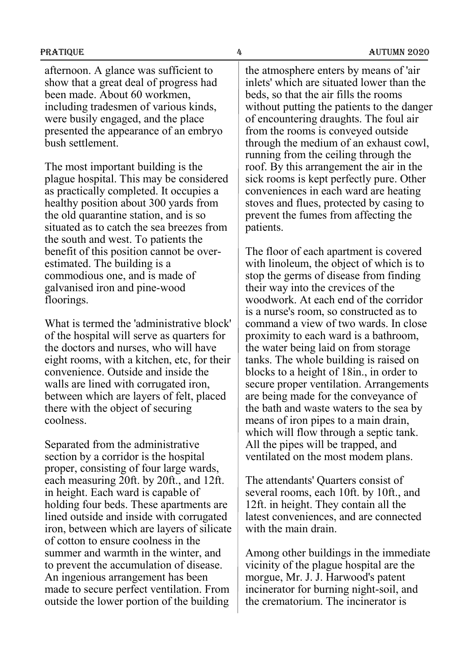PRATIQUE 4 AUTUMN 2020

afternoon. A glance was sufficient to show that a great deal of progress had been made. About 60 workmen, including tradesmen of various kinds, were busily engaged, and the place presented the appearance of an embryo bush settlement.

The most important building is the plague hospital. This may be considered as practically completed. It occupies a healthy position about 300 yards from the old quarantine station, and is so situated as to catch the sea breezes from the south and west. To patients the benefit of this position cannot be overestimated. The building is a commodious one, and is made of galvanised iron and pine-wood floorings.

What is termed the 'administrative block' of the hospital will serve as quarters for the doctors and nurses, who will have eight rooms, with a kitchen, etc, for their convenience. Outside and inside the walls are lined with corrugated iron, between which are layers of felt, placed there with the object of securing coolness.

Separated from the administrative section by a corridor is the hospital proper, consisting of four large wards, each measuring 20ft. by 20ft., and 12ft. in height. Each ward is capable of holding four beds. These apartments are lined outside and inside with corrugated iron, between which are layers of silicate of cotton to ensure coolness in the summer and warmth in the winter, and to prevent the accumulation of disease. An ingenious arrangement has been made to secure perfect ventilation. From outside the lower portion of the building

the atmosphere enters by means of 'air inlets' which are situated lower than the beds, so that the air fills the rooms without putting the patients to the danger of encountering draughts. The foul air from the rooms is conveyed outside through the medium of an exhaust cowl, running from the ceiling through the roof. By this arrangement the air in the sick rooms is kept perfectly pure. Other conveniences in each ward are heating stoves and flues, protected by casing to prevent the fumes from affecting the patients.

The floor of each apartment is covered with linoleum, the object of which is to stop the germs of disease from finding their way into the crevices of the woodwork. At each end of the corridor is a nurse's room, so constructed as to command a view of two wards. In close proximity to each ward is a bathroom, the water being laid on from storage tanks. The whole building is raised on blocks to a height of 18in., in order to secure proper ventilation. Arrangements are being made for the conveyance of the bath and waste waters to the sea by means of iron pipes to a main drain, which will flow through a septic tank. All the pipes will be trapped, and ventilated on the most modem plans.

The attendants' Quarters consist of several rooms, each 10ft. by 10ft., and 12ft. in height. They contain all the latest conveniences, and are connected with the main drain.

Among other buildings in the immediate vicinity of the plague hospital are the morgue, Mr. J. J. Harwood's patent incinerator for burning night-soil, and the crematorium. The incinerator is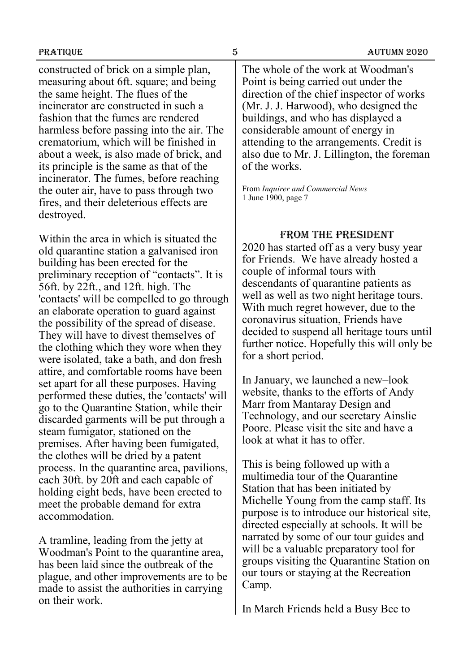constructed of brick on a simple plan, measuring about 6ft. square; and being the same height. The flues of the incinerator are constructed in such a fashion that the fumes are rendered harmless before passing into the air. The crematorium, which will be finished in about a week, is also made of brick, and its principle is the same as that of the incinerator. The fumes, before reaching the outer air, have to pass through two fires, and their deleterious effects are destroyed.

Within the area in which is situated the old quarantine station a galvanised iron building has been erected for the preliminary reception of "contacts". It is 56ft. by 22ft., and 12ft. high. The 'contacts' will be compelled to go through an elaborate operation to guard against the possibility of the spread of disease. They will have to divest themselves of the clothing which they wore when they were isolated, take a bath, and don fresh attire, and comfortable rooms have been set apart for all these purposes. Having performed these duties, the 'contacts' will go to the Quarantine Station, while their discarded garments will be put through a steam fumigator, stationed on the premises. After having been fumigated, the clothes will be dried by a patent process. In the quarantine area, pavilions, each 30ft. by 20ft and each capable of holding eight beds, have been erected to meet the probable demand for extra accommodation.

A tramline, leading from the jetty at Woodman's Point to the quarantine area, has been laid since the outbreak of the plague, and other improvements are to be made to assist the authorities in carrying on their work.

The whole of the work at Woodman's Point is being carried out under the direction of the chief inspector of works (Mr. J. J. Harwood), who designed the buildings, and who has displayed a considerable amount of energy in attending to the arrangements. Credit is also due to Mr. J. Lillington, the foreman of the works.

From *Inquirer and Commercial News* 1 June 1900, page 7

#### From The President

2020 has started off as a very busy year for Friends. We have already hosted a couple of informal tours with descendants of quarantine patients as well as well as two night heritage tours. With much regret however, due to the coronavirus situation, Friends have decided to suspend all heritage tours until further notice. Hopefully this will only be for a short period.

In January, we launched a new–look website, thanks to the efforts of Andy Marr from Mantaray Design and Technology, and our secretary Ainslie Poore. Please visit the site and have a look at what it has to offer.

This is being followed up with a multimedia tour of the Quarantine Station that has been initiated by Michelle Young from the camp staff. Its purpose is to introduce our historical site, directed especially at schools. It will be narrated by some of our tour guides and will be a valuable preparatory tool for groups visiting the Quarantine Station on our tours or staying at the Recreation Camp.

In March Friends held a Busy Bee to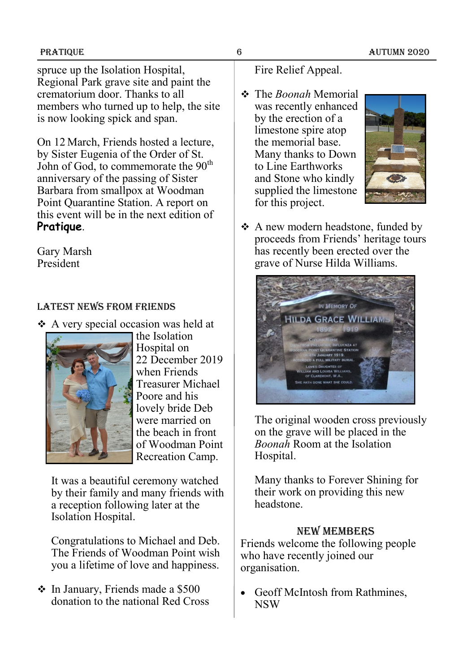spruce up the Isolation Hospital, Regional Park grave site and paint the crematorium door. Thanks to all members who turned up to help, the site is now looking spick and span.

On 12 March, Friends hosted a lecture, by Sister Eugenia of the Order of St. John of God, to commemorate the 90<sup>th</sup> anniversary of the passing of Sister Barbara from smallpox at Woodman Point Quarantine Station. A report on this event will be in the next edition of **Pratique**.

Gary Marsh President

## Latest news from Friends

❖ A very special occasion was held at



the Isolation Hospital on 22 December 2019 when Friends Treasurer Michael Poore and his lovely bride Deb were married on the beach in front of Woodman Point Recreation Camp.

It was a beautiful ceremony watched by their family and many friends with a reception following later at the Isolation Hospital.

Congratulations to Michael and Deb. The Friends of Woodman Point wish you a lifetime of love and happiness.

❖ In January, Friends made a \$500 donation to the national Red Cross

# Fire Relief Appeal.

❖ The *Boonah* Memorial was recently enhanced by the erection of a limestone spire atop the memorial base. Many thanks to Down to Line Earthworks and Stone who kindly supplied the limestone for this project.



❖ A new modern headstone, funded by proceeds from Friends' heritage tours has recently been erected over the grave of Nurse Hilda Williams.



The original wooden cross previously on the grave will be placed in the *Boonah* Room at the Isolation Hospital.

Many thanks to Forever Shining for their work on providing this new headstone.

### New members

Friends welcome the following people who have recently joined our organisation.

• Geoff McIntosh from Rathmines, NSW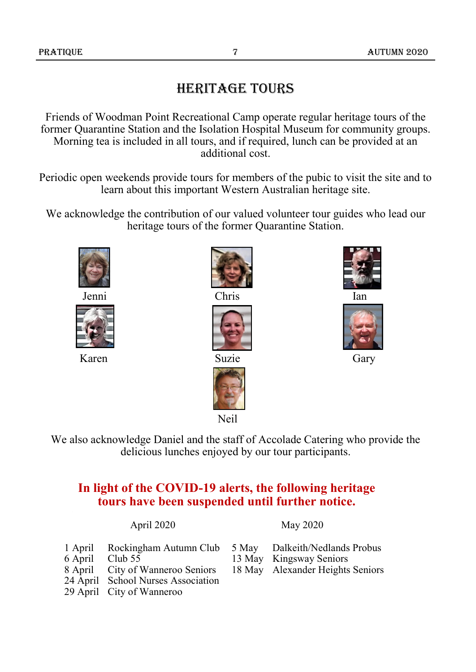# Heritage tours

Friends of Woodman Point Recreational Camp operate regular heritage tours of the former Quarantine Station and the Isolation Hospital Museum for community groups. Morning tea is included in all tours, and if required, lunch can be provided at an additional cost.

Periodic open weekends provide tours for members of the pubic to visit the site and to learn about this important Western Australian heritage site.

We acknowledge the contribution of our valued volunteer tour guides who lead our heritage tours of the former Quarantine Station.









Karen Suzie Gary





We also acknowledge Daniel and the staff of Accolade Catering who provide the delicious lunches enjoyed by our tour participants.

# **In light of the COVID-19 alerts, the following heritage tours have been suspended until further notice.**

#### April 2020 May 2020

|         | 1 April Rockingham Autumn Club 5 May Dalkeith/Nedlands Probus |                                  |
|---------|---------------------------------------------------------------|----------------------------------|
| 6 April | Club 55                                                       | 13 May Kingsway Seniors          |
|         | 8 April City of Wanneroo Seniors                              | 18 May Alexander Heights Seniors |
|         | 24 April School Nurses Association                            |                                  |
|         | 29 April City of Wanneroo                                     |                                  |
|         |                                                               |                                  |